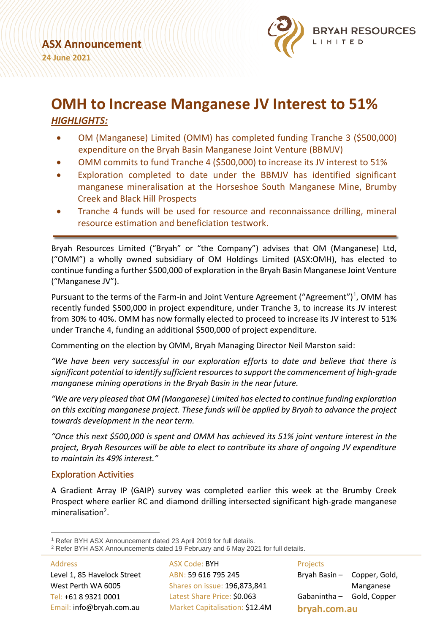

# **OMH to Increase Manganese JV Interest to 51%** *HIGHLIGHTS:*

- OM (Manganese) Limited (OMM) has completed funding Tranche 3 (\$500,000) expenditure on the Bryah Basin Manganese Joint Venture (BBMJV)
- OMM commits to fund Tranche 4 (\$500,000) to increase its JV interest to 51%
- Exploration completed to date under the BBMJV has identified significant manganese mineralisation at the Horseshoe South Manganese Mine, Brumby Creek and Black Hill Prospects
- Tranche 4 funds will be used for resource and reconnaissance drilling, mineral resource estimation and beneficiation testwork.

Bryah Resources Limited ("Bryah" or "the Company") advises that OM (Manganese) Ltd, ("OMM") a wholly owned subsidiary of OM Holdings Limited (ASX:OMH), has elected to continue funding a further \$500,000 of exploration in the Bryah Basin Manganese Joint Venture ("Manganese JV").

Pursuant to the terms of the Farm-in and Joint Venture Agreement ("Agreement")<sup>1</sup>, OMM has recently funded \$500,000 in project expenditure, under Tranche 3, to increase its JV interest from 30% to 40%. OMM has now formally elected to proceed to increase its JV interest to 51% under Tranche 4, funding an additional \$500,000 of project expenditure.

Commenting on the election by OMM, Bryah Managing Director Neil Marston said:

*"We have been very successful in our exploration efforts to date and believe that there is significant potential to identify sufficient resources to support the commencement of high-grade manganese mining operations in the Bryah Basin in the near future.*

*"We are very pleased that OM (Manganese) Limited has elected to continue funding exploration on this exciting manganese project. These funds will be applied by Bryah to advance the project towards development in the near term.*

*"Once this next \$500,000 is spent and OMM has achieved its 51% joint venture interest in the project, Bryah Resources will be able to elect to contribute its share of ongoing JV expenditure to maintain its 49% interest."*

# Exploration Activities

A Gradient Array IP (GAIP) survey was completed earlier this week at the Brumby Creek Prospect where earlier RC and diamond drilling intersected significant high-grade manganese mineralisation<sup>2</sup>.

Address Level 1, 85 Havelock Street West Perth WA 6005 Tel: +61 8 9321 0001 Email: info@bryah.com.au

ASX Code: BYH ABN: 59 616 795 245 Shares on issue: 196,873,841 Latest Share Price: \$0.063 Market Capitalisation: \$12.4M Projects Bryah Basin – Copper, Gold, Manganese Gabanintha – Gold, Copper **bryah.com.au**

<sup>1</sup> Refer BYH ASX Announcement dated 23 April 2019 for full details.

<sup>2</sup> Refer BYH ASX Announcements dated 19 February and 6 May 2021 for full details.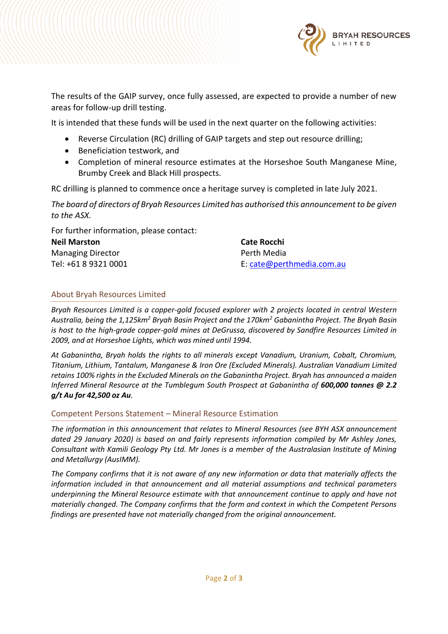

The results of the GAIP survey, once fully assessed, are expected to provide a number of new areas for follow-up drill testing.

It is intended that these funds will be used in the next quarter on the following activities:

- Reverse Circulation (RC) drilling of GAIP targets and step out resource drilling;
- Beneficiation testwork, and
- Completion of mineral resource estimates at the Horseshoe South Manganese Mine, Brumby Creek and Black Hill prospects.

RC drilling is planned to commence once a heritage survey is completed in late July 2021.

*The board of directors of Bryah Resources Limited has authorised this announcement to be given to the ASX.*

For further information, please contact:

| <b>Neil Marston</b>      | Cate Rocchi               |
|--------------------------|---------------------------|
| <b>Managing Director</b> | Perth Media               |
| Tel: +61 8 9321 0001     | E: cate@perthmedia.com.au |

## About Bryah Resources Limited

*Bryah Resources Limited is a copper-gold focused explorer with 2 projects located in central Western Australia, being the 1,125km<sup>2</sup> Bryah Basin Project and the 170km<sup>2</sup> Gabanintha Project. The Bryah Basin is host to the high-grade copper-gold mines at DeGrussa, discovered by Sandfire Resources Limited in 2009, and at Horseshoe Lights, which was mined until 1994.* 

*At Gabanintha, Bryah holds the rights to all minerals except Vanadium, Uranium, Cobalt, Chromium, Titanium, Lithium, Tantalum, Manganese & Iron Ore (Excluded Minerals). Australian Vanadium Limited retains 100% rights in the Excluded Minerals on the Gabanintha Project. Bryah has announced a maiden Inferred Mineral Resource at the Tumblegum South Prospect at Gabanintha of 600,000 tonnes @ 2.2 g/t Au for 42,500 oz Au.*

#### Competent Persons Statement – Mineral Resource Estimation

*The information in this announcement that relates to Mineral Resources (see BYH ASX announcement dated 29 January 2020) is based on and fairly represents information compiled by Mr Ashley Jones, Consultant with Kamili Geology Pty Ltd. Mr Jones is a member of the Australasian Institute of Mining and Metallurgy (AusIMM).*

*The Company confirms that it is not aware of any new information or data that materially affects the information included in that announcement and all material assumptions and technical parameters underpinning the Mineral Resource estimate with that announcement continue to apply and have not materially changed. The Company confirms that the form and context in which the Competent Persons findings are presented have not materially changed from the original announcement.*